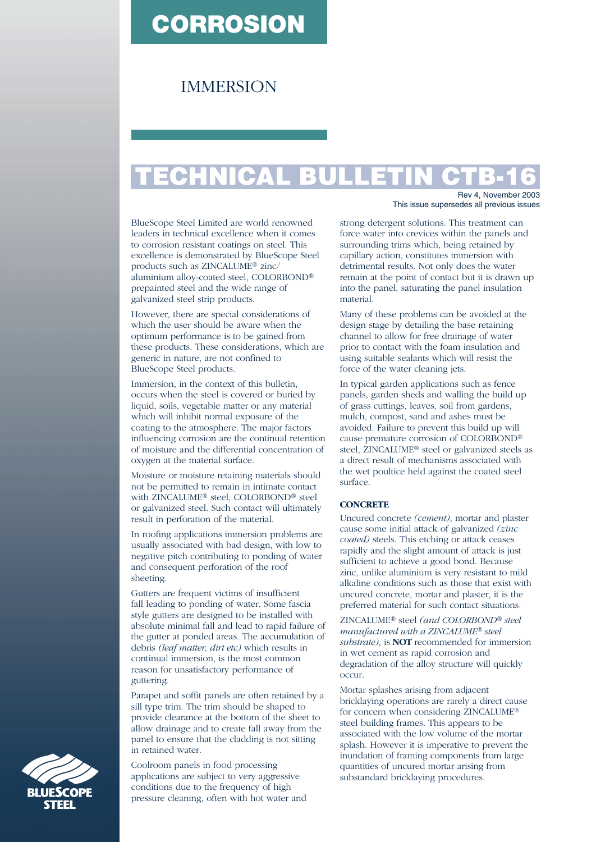## **CORROSION**

### IMMERSION

# **TECHNICAL BULLETIN CTB-16**

BlueScope Steel Limited are world renowned leaders in technical excellence when it comes to corrosion resistant coatings on steel. This excellence is demonstrated by BlueScope Steel products such as ZINCALUME® zinc/ aluminium alloy-coated steel, COLORBOND® prepainted steel and the wide range of galvanized steel strip products.

However, there are special considerations of which the user should be aware when the optimum performance is to be gained from these products. These considerations, which are generic in nature, are not confined to BlueScope Steel products.

Immersion, in the context of this bulletin, occurs when the steel is covered or buried by liquid, soils, vegetable matter or any material which will inhibit normal exposure of the coating to the atmosphere. The major factors influencing corrosion are the continual retention of moisture and the differential concentration of oxygen at the material surface.

Moisture or moisture retaining materials should not be permitted to remain in intimate contact with ZINCALUME® steel, COLORBOND® steel or galvanized steel. Such contact will ultimately result in perforation of the material.

In roofing applications immersion problems are usually associated with bad design, with low to negative pitch contributing to ponding of water and consequent perforation of the roof sheeting.

Gutters are frequent victims of insufficient fall leading to ponding of water. Some fascia style gutters are designed to be installed with absolute minimal fall and lead to rapid failure of the gutter at ponded areas. The accumulation of debris *(leaf matter, dirt etc)* which results in continual immersion, is the most common reason for unsatisfactory performance of guttering.

Parapet and soffit panels are often retained by a sill type trim. The trim should be shaped to provide clearance at the bottom of the sheet to allow drainage and to create fall away from the panel to ensure that the cladding is not sitting in retained water.

Coolroom panels in food processing applications are subject to very aggressive conditions due to the frequency of high pressure cleaning, often with hot water and

Rev 4, November 2003 This issue supersedes all previous issues

strong detergent solutions. This treatment can force water into crevices within the panels and surrounding trims which, being retained by capillary action, constitutes immersion with detrimental results. Not only does the water remain at the point of contact but it is drawn up into the panel, saturating the panel insulation material.

Many of these problems can be avoided at the design stage by detailing the base retaining channel to allow for free drainage of water prior to contact with the foam insulation and using suitable sealants which will resist the force of the water cleaning jets.

In typical garden applications such as fence panels, garden sheds and walling the build up of grass cuttings, leaves, soil from gardens, mulch, compost, sand and ashes must be avoided. Failure to prevent this build up will cause premature corrosion of COLORBOND® steel, ZINCALUME® steel or galvanized steels as a direct result of mechanisms associated with the wet poultice held against the coated steel surface.

#### **CONCRETE**

Uncured concrete *(cement)*, mortar and plaster cause some initial attack of galvanized *(zinc coated)* steels. This etching or attack ceases rapidly and the slight amount of attack is just sufficient to achieve a good bond. Because zinc, unlike aluminium is very resistant to mild alkaline conditions such as those that exist with uncured concrete, mortar and plaster, it is the preferred material for such contact situations.

ZINCALUME® steel *(and COLORBOND® steel manufactured with a ZINCALUME® steel substrate)*, is **NOT** recommended for immersion in wet cement as rapid corrosion and degradation of the alloy structure will quickly occur.

Mortar splashes arising from adjacent bricklaying operations are rarely a direct cause for concern when considering ZINCALUME® steel building frames. This appears to be associated with the low volume of the mortar splash. However it is imperative to prevent the inundation of framing components from large quantities of uncured mortar arising from substandard bricklaying procedures.